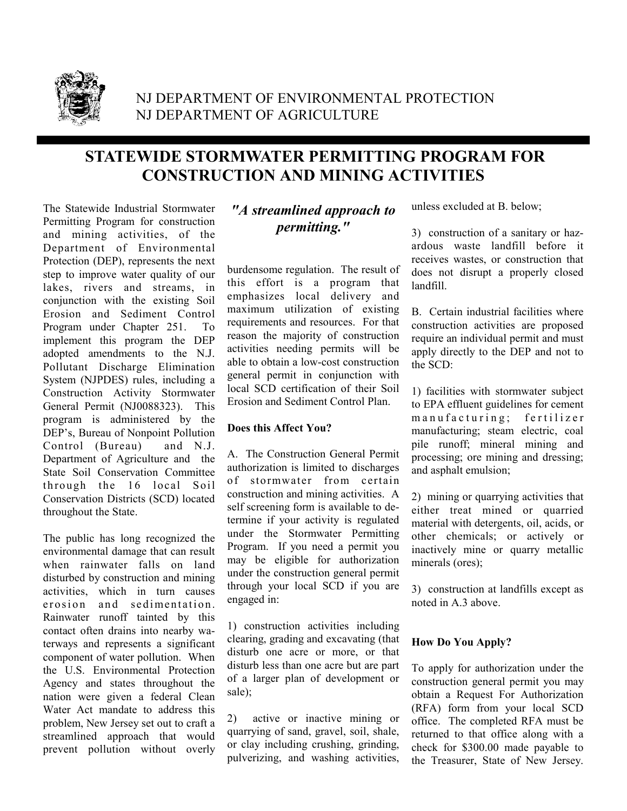

# NJ DEPARTMENT OF ENVIRONMENTAL PROTECTION NJ DEPARTMENT OF AGRICULTURE

# **STATEWIDE STORMWATER PERMITTING PROGRAM FOR CONSTRUCTION AND MINING ACTIVITIES**

The Statewide Industrial Stormwater Permitting Program for construction and mining activities, of the Department of Environmental Protection (DEP), represents the next step to improve water quality of our lakes, rivers and streams, in conjunction with the existing Soil Erosion and Sediment Control Program under Chapter 251. To implement this program the DEP adopted amendments to the N.J. Pollutant Discharge Elimination System (NJPDES) rules, including a Construction Activity Stormwater General Permit (NJ0088323). This program is administered by the DEP's, Bureau of Nonpoint Pollution Control (Bureau) and N.J. Department of Agriculture and the State Soil Conservation Committee through the 16 local Soil Conservation Districts (SCD) located throughout the State.

The public has long recognized the environmental damage that can result when rainwater falls on land disturbed by construction and mining activities, which in turn causes erosion and sedimentation. Rainwater runoff tainted by this contact often drains into nearby waterways and represents a significant component of water pollution. When the U.S. Environmental Protection Agency and states throughout the nation were given a federal Clean Water Act mandate to address this problem, New Jersey set out to craft a streamlined approach that would prevent pollution without overly

## *"A streamlined approach to permitting."*

burdensome regulation. The result of this effort is a program that emphasizes local delivery and maximum utilization of existing requirements and resources. For that reason the majority of construction activities needing permits will be able to obtain a low-cost construction general permit in conjunction with local SCD certification of their Soil Erosion and Sediment Control Plan.

### **Does this Affect You?**

A. The Construction General Permit authorization is limited to discharges of stormwater from certain construction and mining activities. A self screening form is available to determine if your activity is regulated under the Stormwater Permitting Program. If you need a permit you may be eligible for authorization under the construction general permit through your local SCD if you are engaged in:

1) construction activities including clearing, grading and excavating (that disturb one acre or more, or that disturb less than one acre but are part of a larger plan of development or sale);

2) active or inactive mining or quarrying of sand, gravel, soil, shale, or clay including crushing, grinding, pulverizing, and washing activities, unless excluded at B. below;

3) construction of a sanitary or hazardous waste landfill before it receives wastes, or construction that does not disrupt a properly closed landfill.

B. Certain industrial facilities where construction activities are proposed require an individual permit and must apply directly to the DEP and not to the SCD:

1) facilities with stormwater subject to EPA effluent guidelines for cement m a n u f a c t u r i n g; fertilizer manufacturing; steam electric, coal pile runoff; mineral mining and processing; ore mining and dressing; and asphalt emulsion;

2) mining or quarrying activities that either treat mined or quarried material with detergents, oil, acids, or other chemicals; or actively or inactively mine or quarry metallic minerals (ores);

3) construction at landfills except as noted in A.3 above.

### **How Do You Apply?**

To apply for authorization under the construction general permit you may obtain a Request For Authorization (RFA) form from your local SCD office. The completed RFA must be returned to that office along with a check for \$300.00 made payable to the Treasurer, State of New Jersey.